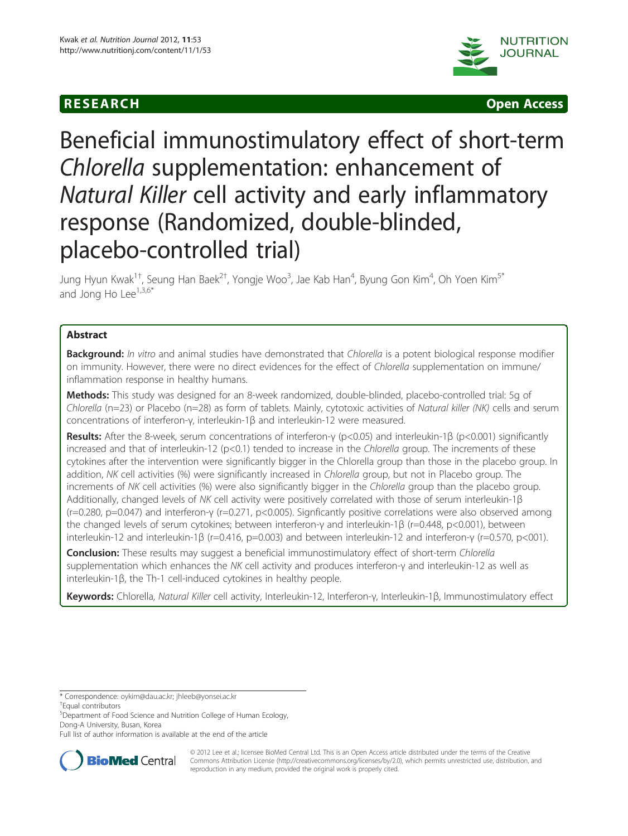



# Beneficial immunostimulatory effect of short-term Chlorella supplementation: enhancement of Natural Killer cell activity and early inflammatory response (Randomized, double-blinded, placebo-controlled trial)

Jung Hyun Kwak<sup>1†</sup>, Seung Han Baek<sup>2†</sup>, Yongje Woo<sup>3</sup>, Jae Kab Han<sup>4</sup>, Byung Gon Kim<sup>4</sup>, Oh Yoen Kim<sup>5\*</sup> and Jong Ho Lee $^{1,3,6*}$ 

# Abstract

Background: In vitro and animal studies have demonstrated that Chlorella is a potent biological response modifier on immunity. However, there were no direct evidences for the effect of Chlorella supplementation on immune/ inflammation response in healthy humans.

Methods: This study was designed for an 8-week randomized, double-blinded, placebo-controlled trial: 5q of Chlorella (n=23) or Placebo (n=28) as form of tablets. Mainly, cytotoxic activities of Natural killer (NK) cells and serum concentrations of interferon-γ, interleukin-1β and interleukin-12 were measured.

Results: After the 8-week, serum concentrations of interferon-γ (p<0.05) and interleukin-1β (p<0.001) significantly increased and that of interleukin-12 (p<0.1) tended to increase in the Chlorella group. The increments of these cytokines after the intervention were significantly bigger in the Chlorella group than those in the placebo group. In addition, NK cell activities (%) were significantly increased in Chlorella group, but not in Placebo group. The increments of NK cell activities (%) were also significantly bigger in the Chlorella group than the placebo group. Additionally, changed levels of NK cell activity were positively correlated with those of serum interleukin-1β (r=0.280, p=0.047) and interferon-γ (r=0.271, p<0.005). Signficantly positive correlations were also observed among the changed levels of serum cytokines; between interferon-γ and interleukin-1β (r=0.448, p<0.001), between interleukin-12 and interleukin-1β (r=0.416, p=0.003) and between interleukin-12 and interferon-γ (r=0.570, p<001).

Conclusion: These results may suggest a beneficial immunostimulatory effect of short-term Chlorella supplementation which enhances the NK cell activity and produces interferon-γ and interleukin-12 as well as interleukin-1β, the Th-1 cell-induced cytokines in healthy people.

Keywords: Chlorella, Natural Killer cell activity, Interleukin-12, Interferon-γ, Interleukin-1β, Immunostimulatory effect

\* Correspondence: [oykim@dau.ac.kr;](mailto:oykim@dau.ac.kr) [jhleeb@yonsei.ac.kr](mailto:jhleeb@yonsei.ac.kr) †

Equal contributors

5 Department of Food Science and Nutrition College of Human Ecology, Dong-A University, Busan, Korea

Full list of author information is available at the end of the article



© 2012 Lee et al.; licensee BioMed Central Ltd. This is an Open Access article distributed under the terms of the Creative Commons Attribution License [\(http://creativecommons.org/licenses/by/2.0\)](http://creativecommons.org/licenses/by/2.0), which permits unrestricted use, distribution, and reproduction in any medium, provided the original work is properly cited.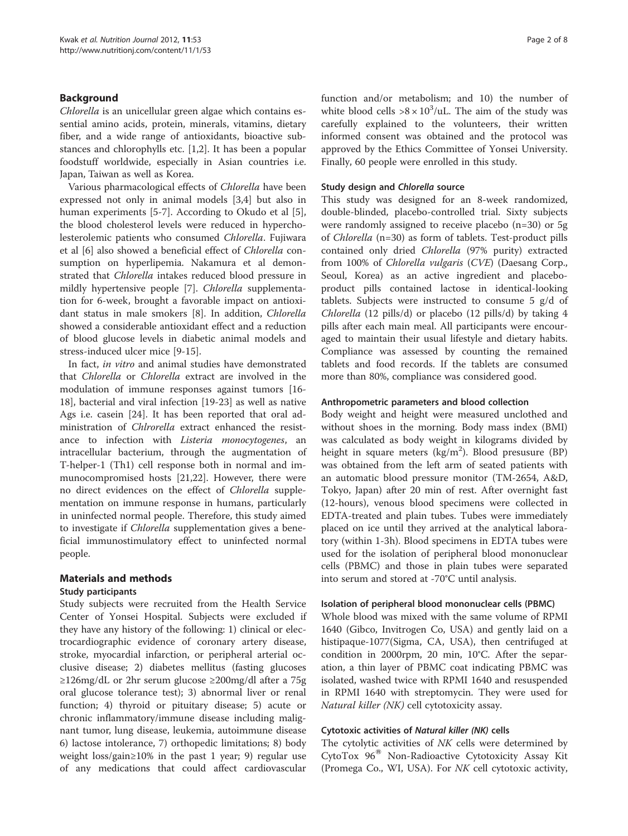# Background

Chlorella is an unicellular green algae which contains essential amino acids, protein, minerals, vitamins, dietary fiber, and a wide range of antioxidants, bioactive substances and chlorophylls etc. [[1](#page-6-0),[2](#page-6-0)]. It has been a popular foodstuff worldwide, especially in Asian countries i.e. Japan, Taiwan as well as Korea.

Various pharmacological effects of Chlorella have been expressed not only in animal models [[3,](#page-6-0)[4\]](#page-7-0) but also in human experiments [\[5](#page-7-0)-[7\]](#page-7-0). According to Okudo et al [\[5](#page-7-0)], the blood cholesterol levels were reduced in hypercholesterolemic patients who consumed Chlorella. Fujiwara et al [[6\]](#page-7-0) also showed a beneficial effect of Chlorella consumption on hyperlipemia. Nakamura et al demonstrated that Chlorella intakes reduced blood pressure in mildly hypertensive people [[7](#page-7-0)]. Chlorella supplementation for 6-week, brought a favorable impact on antioxidant status in male smokers [\[8](#page-7-0)]. In addition, Chlorella showed a considerable antioxidant effect and a reduction of blood glucose levels in diabetic animal models and stress-induced ulcer mice [\[9](#page-7-0)-[15\]](#page-7-0).

In fact, in vitro and animal studies have demonstrated that Chlorella or Chlorella extract are involved in the modulation of immune responses against tumors [\[16-](#page-7-0) [18\]](#page-7-0), bacterial and viral infection [\[19-23](#page-7-0)] as well as native Ags i.e. casein [[24\]](#page-7-0). It has been reported that oral administration of Chlrorella extract enhanced the resistance to infection with Listeria monocytogenes, an intracellular bacterium, through the augmentation of T-helper-1 (Th1) cell response both in normal and immunocompromised hosts [[21](#page-7-0),[22](#page-7-0)]. However, there were no direct evidences on the effect of Chlorella supplementation on immune response in humans, particularly in uninfected normal people. Therefore, this study aimed to investigate if Chlorella supplementation gives a beneficial immunostimulatory effect to uninfected normal people.

# Materials and methods

# Study participants

Study subjects were recruited from the Health Service Center of Yonsei Hospital. Subjects were excluded if they have any history of the following: 1) clinical or electrocardiographic evidence of coronary artery disease, stroke, myocardial infarction, or peripheral arterial occlusive disease; 2) diabetes mellitus (fasting glucoses ≥126mg/dL or 2hr serum glucose ≥200mg/dl after a 75g oral glucose tolerance test); 3) abnormal liver or renal function; 4) thyroid or pituitary disease; 5) acute or chronic inflammatory/immune disease including malignant tumor, lung disease, leukemia, autoimmune disease 6) lactose intolerance, 7) orthopedic limitations; 8) body weight loss/gain≥10% in the past 1 year; 9) regular use of any medications that could affect cardiovascular function and/or metabolism; and 10) the number of white blood cells  $>8 \times 10^3$ /uL. The aim of the study was carefully explained to the volunteers, their written informed consent was obtained and the protocol was approved by the Ethics Committee of Yonsei University. Finally, 60 people were enrolled in this study.

#### Study design and Chlorella source

This study was designed for an 8-week randomized, double-blinded, placebo-controlled trial. Sixty subjects were randomly assigned to receive placebo (n=30) or 5g of Chlorella (n=30) as form of tablets. Test-product pills contained only dried Chlorella (97% purity) extracted from 100% of Chlorella vulgaris (CVE) (Daesang Corp., Seoul, Korea) as an active ingredient and placeboproduct pills contained lactose in identical-looking tablets. Subjects were instructed to consume 5 g/d of Chlorella  $(12 \text{ pills}/d)$  or placebo  $(12 \text{ pills}/d)$  by taking 4 pills after each main meal. All participants were encouraged to maintain their usual lifestyle and dietary habits. Compliance was assessed by counting the remained tablets and food records. If the tablets are consumed more than 80%, compliance was considered good.

#### Anthropometric parameters and blood collection

Body weight and height were measured unclothed and without shoes in the morning. Body mass index (BMI) was calculated as body weight in kilograms divided by height in square meters (kg/m<sup>2</sup>). Blood presusure (BP) was obtained from the left arm of seated patients with an automatic blood pressure monitor (TM-2654, A&D, Tokyo, Japan) after 20 min of rest. After overnight fast (12-hours), venous blood specimens were collected in EDTA-treated and plain tubes. Tubes were immediately placed on ice until they arrived at the analytical laboratory (within 1-3h). Blood specimens in EDTA tubes were used for the isolation of peripheral blood mononuclear cells (PBMC) and those in plain tubes were separated into serum and stored at -70°C until analysis.

#### Isolation of peripheral blood mononuclear cells (PBMC)

Whole blood was mixed with the same volume of RPMI 1640 (Gibco, Invitrogen Co, USA) and gently laid on a histipaque-1077(Sigma, CA, USA), then centrifuged at condition in 2000rpm, 20 min, 10°C. After the separation, a thin layer of PBMC coat indicating PBMC was isolated, washed twice with RPMI 1640 and resuspended in RPMI 1640 with streptomycin. They were used for Natural killer (NK) cell cytotoxicity assay.

#### Cytotoxic activities of Natural killer (NK) cells

The cytolytic activities of NK cells were determined by CytoTox  $96^{\circ}$  Non-Radioactive Cytotoxicity Assay Kit (Promega Co., WI, USA). For NK cell cytotoxic activity,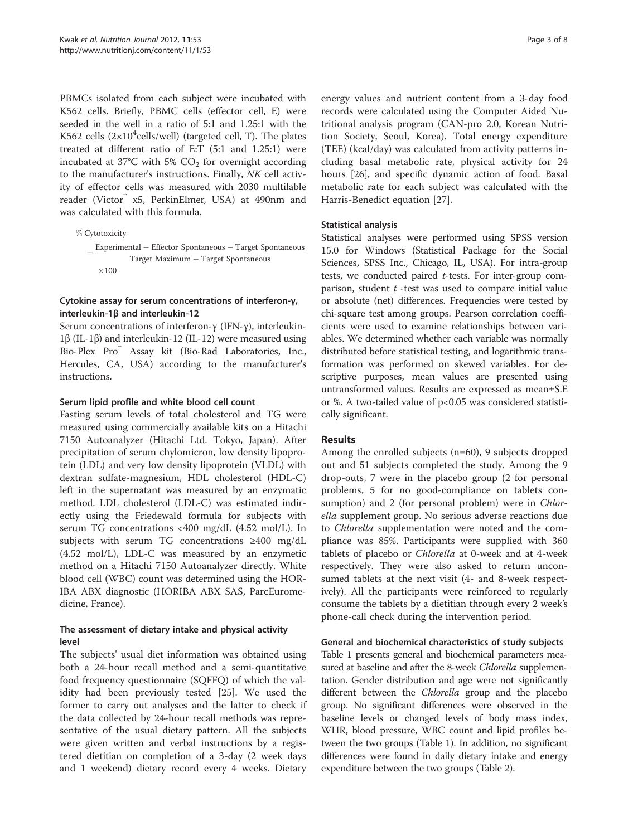PBMCs isolated from each subject were incubated with K562 cells. Briefly, PBMC cells (effector cell, E) were seeded in the well in a ratio of 5:1 and 1.25:1 with the K562 cells  $(2\times10^4$ cells/well) (targeted cell, T). The plates treated at different ratio of E:T (5:1 and 1.25:1) were incubated at 37 $\degree$ C with 5% CO<sub>2</sub> for overnight according to the manufacturer's instructions. Finally, NK cell activity of effector cells was measured with 2030 multilable reader (Victor™ x5, PerkinElmer, USA) at 490nm and was calculated with this formula.

% Cytotoxicity

$$
=\frac{\text{Experimental} - \text{Effector Spontaneous} - \text{Target Spontaneous}}{\text{Target Maximum} - \text{Target Spontaneous}}
$$

# Cytokine assay for serum concentrations of interferon-γ, interleukin-1β and interleukin-12

Serum concentrations of interferon-γ (IFN-γ), interleukin-1β (IL-1β) and interleukin-12 (IL-12) were measured using Bio-Plex Pro™ Assay kit (Bio-Rad Laboratories, Inc., Hercules, CA, USA) according to the manufacturer's instructions.

#### Serum lipid profile and white blood cell count

Fasting serum levels of total cholesterol and TG were measured using commercially available kits on a Hitachi 7150 Autoanalyzer (Hitachi Ltd. Tokyo, Japan). After precipitation of serum chylomicron, low density lipoprotein (LDL) and very low density lipoprotein (VLDL) with dextran sulfate-magnesium, HDL cholesterol (HDL-C) left in the supernatant was measured by an enzymatic method. LDL cholesterol (LDL-C) was estimated indirectly using the Friedewald formula for subjects with serum TG concentrations <400 mg/dL (4.52 mol/L). In subjects with serum TG concentrations ≥400 mg/dL (4.52 mol/L), LDL-C was measured by an enzymetic method on a Hitachi 7150 Autoanalyzer directly. White blood cell (WBC) count was determined using the HOR-IBA ABX diagnostic (HORIBA ABX SAS, ParcEuromedicine, France).

# The assessment of dietary intake and physical activity level

The subjects' usual diet information was obtained using both a 24-hour recall method and a semi-quantitative food frequency questionnaire (SQFFQ) of which the validity had been previously tested [\[25\]](#page-7-0). We used the former to carry out analyses and the latter to check if the data collected by 24-hour recall methods was representative of the usual dietary pattern. All the subjects were given written and verbal instructions by a registered dietitian on completion of a 3-day (2 week days and 1 weekend) dietary record every 4 weeks. Dietary

energy values and nutrient content from a 3-day food records were calculated using the Computer Aided Nutritional analysis program (CAN-pro 2.0, Korean Nutrition Society, Seoul, Korea). Total energy expenditure (TEE) (kcal/day) was calculated from activity patterns including basal metabolic rate, physical activity for 24 hours [[26\]](#page-7-0), and specific dynamic action of food. Basal metabolic rate for each subject was calculated with the Harris-Benedict equation [\[27\]](#page-7-0).

#### Statistical analysis

Statistical analyses were performed using SPSS version 15.0 for Windows (Statistical Package for the Social Sciences, SPSS Inc., Chicago, IL, USA). For intra-group tests, we conducted paired t-tests. For inter-group comparison, student  $t$  -test was used to compare initial value or absolute (net) differences. Frequencies were tested by chi-square test among groups. Pearson correlation coefficients were used to examine relationships between variables. We determined whether each variable was normally distributed before statistical testing, and logarithmic transformation was performed on skewed variables. For descriptive purposes, mean values are presented using untransformed values. Results are expressed as mean±S.E or %. A two-tailed value of p<0.05 was considered statistically significant.

# Results

Among the enrolled subjects (n=60), 9 subjects dropped out and 51 subjects completed the study. Among the 9 drop-outs, 7 were in the placebo group (2 for personal problems, 5 for no good-compliance on tablets consumption) and 2 (for personal problem) were in Chlorella supplement group. No serious adverse reactions due to Chlorella supplementation were noted and the compliance was 85%. Participants were supplied with 360 tablets of placebo or Chlorella at 0-week and at 4-week respectively. They were also asked to return unconsumed tablets at the next visit (4- and 8-week respectively). All the participants were reinforced to regularly consume the tablets by a dietitian through every 2 week's phone-call check during the intervention period.

# General and biochemical characteristics of study subjects

Table [1](#page-3-0) presents general and biochemical parameters measured at baseline and after the 8-week Chlorella supplementation. Gender distribution and age were not significantly different between the *Chlorella* group and the placebo group. No significant differences were observed in the baseline levels or changed levels of body mass index, WHR, blood pressure, WBC count and lipid profiles between the two groups (Table [1](#page-3-0)). In addition, no significant differences were found in daily dietary intake and energy expenditure between the two groups (Table [2](#page-3-0)).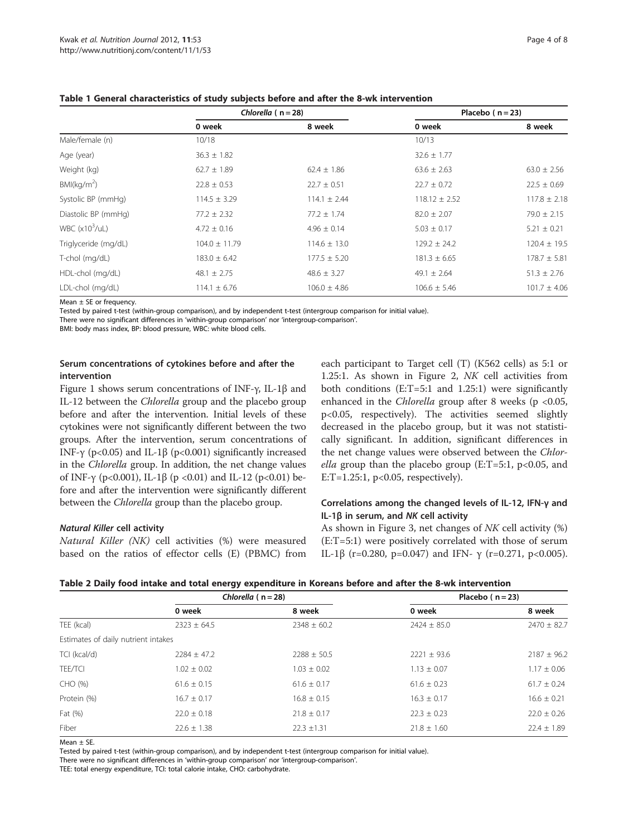|                         | Chlorella ( $n = 28$ ) |                  | Placebo $(n = 23)$ |                  |
|-------------------------|------------------------|------------------|--------------------|------------------|
|                         | 0 week                 | 8 week           | 0 week             | 8 week           |
| Male/female (n)         | 10/18                  |                  | 10/13              |                  |
| Age (year)              | $36.3 \pm 1.82$        |                  | $32.6 \pm 1.77$    |                  |
| Weight (kg)             | $62.7 \pm 1.89$        | $62.4 \pm 1.86$  | $63.6 \pm 2.63$    | $63.0 \pm 2.56$  |
| BMl(kq/m <sup>2</sup> ) | $22.8 \pm 0.53$        | $22.7 \pm 0.51$  | $22.7 \pm 0.72$    | $22.5 \pm 0.69$  |
| Systolic BP (mmHg)      | $114.5 \pm 3.29$       | $114.1 \pm 2.44$ | $118.12 \pm 2.52$  | $117.8 \pm 2.18$ |
| Diastolic BP (mmHg)     | $77.2 \pm 2.32$        | $77.2 \pm 1.74$  | $82.0 \pm 2.07$    | $79.0 \pm 2.15$  |
| WBC $(x10^3/\text{ul})$ | $4.72 \pm 0.16$        | $4.96 \pm 0.14$  | $5.03 \pm 0.17$    | $5.21 \pm 0.21$  |
| Triglyceride (mg/dL)    | $104.0 \pm 11.79$      | $114.6 \pm 13.0$ | $129.2 \pm 24.2$   | $120.4 \pm 19.5$ |
| T-chol (mg/dL)          | $183.0 \pm 6.42$       | $177.5 \pm 5.20$ | $181.3 \pm 6.65$   | $178.7 \pm 5.81$ |
| HDL-chol (mg/dL)        | $48.1 \pm 2.75$        | $48.6 \pm 3.27$  | $49.1 \pm 2.64$    | $51.3 \pm 2.76$  |
| LDL-chol (mg/dL)        | $114.1 \pm 6.76$       | $106.0 \pm 4.86$ | $106.6 \pm 5.46$   | $101.7 \pm 4.06$ |

<span id="page-3-0"></span>Table 1 General characteristics of study subjects before and after the 8-wk intervention

Mean  $\pm$  SE or frequency.

Tested by paired t-test (within-group comparison), and by independent t-test (intergroup comparison for initial value).

There were no significant differences in 'within-group comparison' nor 'intergroup-comparison'.

BMI: body mass index, BP: blood pressure, WBC: white blood cells.

# Serum concentrations of cytokines before and after the intervention

Figure [1](#page-4-0) shows serum concentrations of INF-γ, IL-1β and IL-12 between the Chlorella group and the placebo group before and after the intervention. Initial levels of these cytokines were not significantly different between the two groups. After the intervention, serum concentrations of INF-γ (p<0.05) and IL-1β (p<0.001) significantly increased in the Chlorella group. In addition, the net change values of INF-γ (p<0.001), IL-1β (p <0.01) and IL-12 (p<0.01) before and after the intervention were significantly different between the Chlorella group than the placebo group.

# Natural Killer cell activity

Natural Killer (NK) cell activities (%) were measured based on the ratios of effector cells (E) (PBMC) from

each participant to Target cell (T) (K562 cells) as 5:1 or 1.25:1. As shown in Figure [2,](#page-4-0) NK cell activities from both conditions (E:T=5:1 and 1.25:1) were significantly enhanced in the *Chlorella* group after 8 weeks ( $p < 0.05$ , p<0.05, respectively). The activities seemed slightly decreased in the placebo group, but it was not statistically significant. In addition, significant differences in the net change values were observed between the Chlorella group than the placebo group (E:T=5:1,  $p$ <0.05, and E:T=1.25:1, p<0.05, respectively).

# Correlations among the changed levels of IL-12, IFN-γ and IL-1β in serum, and NK cell activity

As shown in Figure [3,](#page-5-0) net changes of NK cell activity (%) (E:T=5:1) were positively correlated with those of serum IL-1β (r=0.280, p=0.047) and IFN-  $\gamma$  (r=0.271, p<0.005).

|  |  | Table 2 Daily food intake and total energy expenditure in Koreans before and after the 8-wk intervention |
|--|--|----------------------------------------------------------------------------------------------------------|
|--|--|----------------------------------------------------------------------------------------------------------|

|                                     |                 | Chlorella ( $n = 28$ ) |                 | Placebo $(n=23)$ |  |
|-------------------------------------|-----------------|------------------------|-----------------|------------------|--|
|                                     | 0 week          | 8 week                 | 0 week          | 8 week           |  |
| TEE (kcal)                          | $2323 \pm 64.5$ | $2348 \pm 60.2$        | $2424 \pm 85.0$ | $2470 \pm 82.7$  |  |
| Estimates of daily nutrient intakes |                 |                        |                 |                  |  |
| TCI (kcal/d)                        | $2284 \pm 47.2$ | $2288 \pm 50.5$        | $2221 \pm 93.6$ | $2187 \pm 96.2$  |  |
| <b>TEE/TCI</b>                      | $1.02 \pm 0.02$ | $1.03 \pm 0.02$        | $1.13 \pm 0.07$ | $1.17 \pm 0.06$  |  |
| CHO (%)                             | $61.6 \pm 0.15$ | $61.6 \pm 0.17$        | $61.6 \pm 0.23$ | $61.7 \pm 0.24$  |  |
| Protein (%)                         | $16.7 \pm 0.17$ | $16.8 \pm 0.15$        | $16.3 \pm 0.17$ | $16.6 \pm 0.21$  |  |
| Fat $(\%)$                          | $22.0 \pm 0.18$ | $21.8 \pm 0.17$        | $22.3 \pm 0.23$ | $22.0 \pm 0.26$  |  |
| Fiber                               | $22.6 \pm 1.38$ | $22.3 \pm 1.31$        | $21.8 \pm 1.60$ | $22.4 \pm 1.89$  |  |

Mean  $\pm$  SE.

Tested by paired t-test (within-group comparison), and by independent t-test (intergroup comparison for initial value).

There were no significant differences in 'within-group comparison' nor 'intergroup-comparison'.

TEE: total energy expenditure, TCI: total calorie intake, CHO: carbohydrate.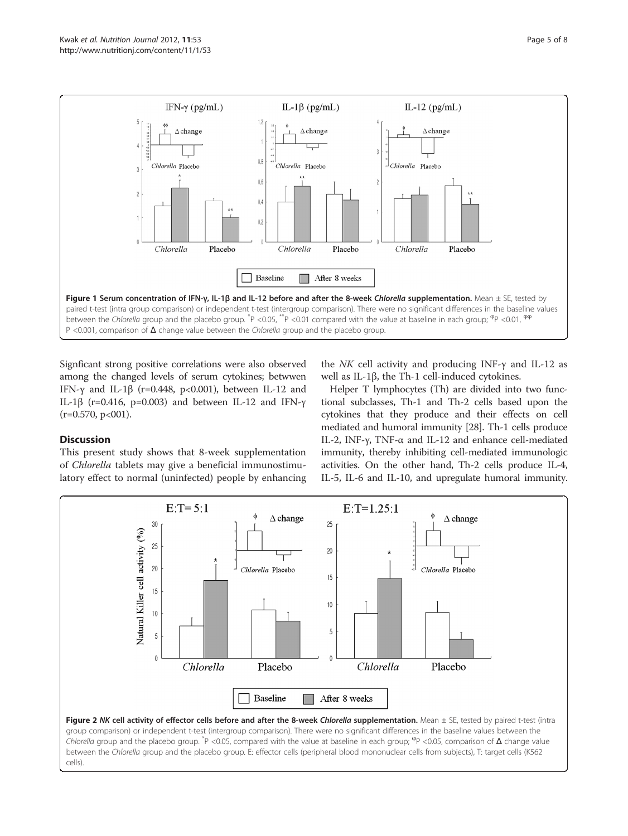<span id="page-4-0"></span>

Signficant strong positive correlations were also observed among the changed levels of serum cytokines; betwwen IFN-γ and IL-1β (r=0.448, p<0.001), between IL-12 and IL-1β (r=0.416, p=0.003) and between IL-12 and IFN- $γ$  $(r=0.570, p<001)$ .

the  $NK$  cell activity and producing INF- $\gamma$  and IL-12 as well as IL-1β, the Th-1 cell-induced cytokines.

Helper T lymphocytes (Th) are divided into two functional subclasses, Th-1 and Th-2 cells based upon the cytokines that they produce and their effects on cell mediated and humoral immunity [[28](#page-7-0)]. Th-1 cells produce IL-2, INF-γ, TNF-α and IL-12 and enhance cell-mediated immunity, thereby inhibiting cell-mediated immunologic activities. On the other hand, Th-2 cells produce IL-4, IL-5, IL-6 and IL-10, and upregulate humoral immunity.

# **Discussion**

This present study shows that 8-week supplementation of Chlorella tablets may give a beneficial immunostimulatory effect to normal (uninfected) people by enhancing



group comparison) or independent t-test (intergroup comparison). There were no significant differences in the baseline values between the Chlorella group and the placebo group. <sup>\*</sup>P <0.05, compared with the value at baseline in each group;  ${}^{\text{op}}$  <0.05, comparison of  $\Delta$  change value between the Chlorella group and the placebo group. E: effector cells (peripheral blood mononuclear cells from subjects), T: target cells (K562 cells).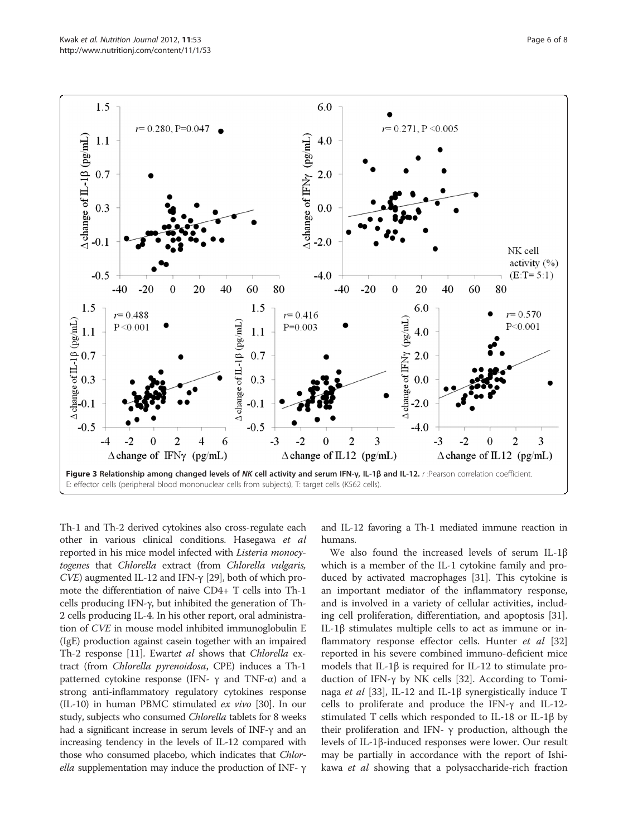<span id="page-5-0"></span>

Th-1 and Th-2 derived cytokines also cross-regulate each other in various clinical conditions. Hasegawa et al reported in his mice model infected with Listeria monocytogenes that Chlorella extract (from Chlorella vulgaris, CVE) augmented IL-12 and IFN- $\gamma$  [\[29\]](#page-7-0), both of which promote the differentiation of naive CD4+ T cells into Th-1 cells producing IFN-γ, but inhibited the generation of Th-2 cells producing IL-4. In his other report, oral administration of CVE in mouse model inhibited immunoglobulin E (IgE) production against casein together with an impaired Th-2 response [\[11\]](#page-7-0). Ewartet al shows that Chlorella extract (from Chlorella pyrenoidosa, CPE) induces a Th-1 patterned cytokine response (IFN- γ and TNF- $α$ ) and a strong anti-inflammatory regulatory cytokines response (IL-10) in human PBMC stimulated ex vivo [\[30](#page-7-0)]. In our study, subjects who consumed Chlorella tablets for 8 weeks had a significant increase in serum levels of INF-γ and an increasing tendency in the levels of IL-12 compared with those who consumed placebo, which indicates that Chlorella supplementation may induce the production of INF- $\gamma$ 

and IL-12 favoring a Th-1 mediated immune reaction in humans.

We also found the increased levels of serum IL-1β which is a member of the IL-1 cytokine family and produced by activated macrophages [[31](#page-7-0)]. This cytokine is an important mediator of the inflammatory response, and is involved in a variety of cellular activities, including cell proliferation, differentiation, and apoptosis [\[31](#page-7-0)]. IL-1β stimulates multiple cells to act as immune or in-flammatory response effector cells. Hunter et al [[32](#page-7-0)] reported in his severe combined immuno-deficient mice models that IL-1 $\beta$  is required for IL-12 to stimulate production of IFN-γ by NK cells [\[32](#page-7-0)]. According to Tominaga et al [[33](#page-7-0)], IL-12 and IL-1β synergistically induce T cells to proliferate and produce the IFN-γ and IL-12 stimulated T cells which responded to IL-18 or IL-1β by their proliferation and IFN-  $γ$  production, although the levels of IL-1β-induced responses were lower. Our result may be partially in accordance with the report of Ishikawa et al showing that a polysaccharide-rich fraction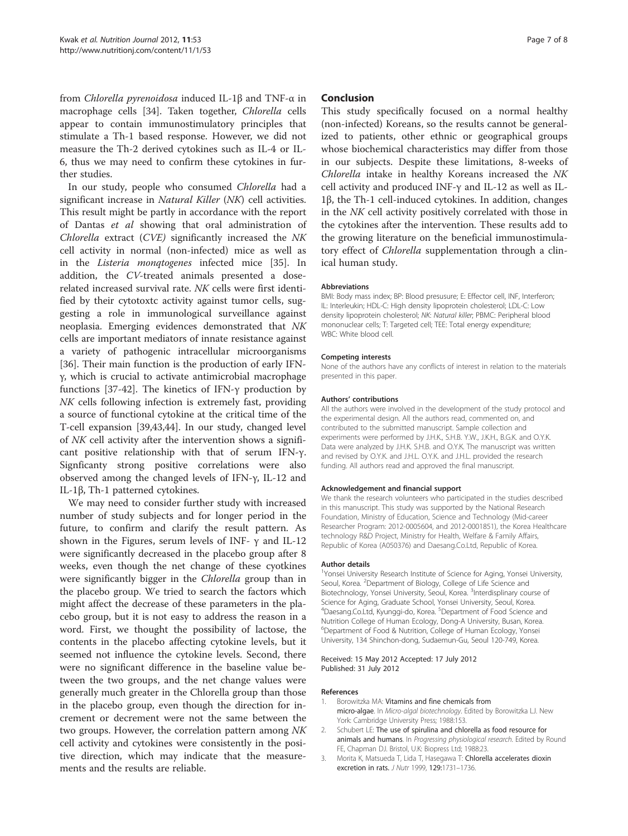<span id="page-6-0"></span>from Chlorella pyrenoidosa induced IL-1β and TNF-α in macrophage cells [\[34](#page-7-0)]. Taken together, Chlorella cells appear to contain immunostimulatory principles that stimulate a Th-1 based response. However, we did not measure the Th-2 derived cytokines such as IL-4 or IL-6, thus we may need to confirm these cytokines in further studies.

In our study, people who consumed Chlorella had a significant increase in Natural Killer (NK) cell activities. This result might be partly in accordance with the report of Dantas et al showing that oral administration of Chlorella extract (CVE) significantly increased the NK cell activity in normal (non-infected) mice as well as in the Listeria monqtogenes infected mice [\[35](#page-7-0)]. In addition, the CV-treated animals presented a doserelated increased survival rate. NK cells were first identified by their cytotoxtc activity against tumor cells, suggesting a role in immunological surveillance against neoplasia. Emerging evidences demonstrated that NK cells are important mediators of innate resistance against a variety of pathogenic intracellular microorganisms [[36\]](#page-7-0). Their main function is the production of early IFNγ, which is crucial to activate antimicrobial macrophage functions [\[37-42](#page-7-0)]. The kinetics of IFN-γ production by NK cells following infection is extremely fast, providing a source of functional cytokine at the critical time of the T-cell expansion [\[39,43,44](#page-7-0)]. In our study, changed level of NK cell activity after the intervention shows a significant positive relationship with that of serum IFN-γ. Signficanty strong positive correlations were also observed among the changed levels of IFN-γ, IL-12 and IL-1β, Th-1 patterned cytokines.

We may need to consider further study with increased number of study subjects and for longer period in the future, to confirm and clarify the result pattern. As shown in the Figures, serum levels of INF-  $\gamma$  and IL-12 were significantly decreased in the placebo group after 8 weeks, even though the net change of these cyotkines were significantly bigger in the Chlorella group than in the placebo group. We tried to search the factors which might affect the decrease of these parameters in the placebo group, but it is not easy to address the reason in a word. First, we thought the possibility of lactose, the contents in the placebo affecting cytokine levels, but it seemed not influence the cytokine levels. Second, there were no significant difference in the baseline value between the two groups, and the net change values were generally much greater in the Chlorella group than those in the placebo group, even though the direction for increment or decrement were not the same between the two groups. However, the correlation pattern among NK cell activity and cytokines were consistently in the positive direction, which may indicate that the measurements and the results are reliable.

#### Conclusion

This study specifically focused on a normal healthy (non-infected) Koreans, so the results cannot be generalized to patients, other ethnic or geographical groups whose biochemical characteristics may differ from those in our subjects. Despite these limitations, 8-weeks of Chlorella intake in healthy Koreans increased the NK cell activity and produced INF-γ and IL-12 as well as IL-1β, the Th-1 cell-induced cytokines. In addition, changes in the NK cell activity positively correlated with those in the cytokines after the intervention. These results add to the growing literature on the beneficial immunostimulatory effect of *Chlorella* supplementation through a clinical human study.

#### Abbreviations

BMI: Body mass index; BP: Blood presusure; E: Effector cell, INF, Interferon; IL: Interleukin; HDL-C: High density lipoprotein cholesterol; LDL-C: Low density lipoprotein cholesterol; NK: Natural killer; PBMC: Peripheral blood mononuclear cells; T: Targeted cell; TEE: Total energy expenditure; WBC: White blood cell.

#### Competing interests

None of the authors have any conflicts of interest in relation to the materials presented in this paper.

#### Authors' contributions

All the authors were involved in the development of the study protocol and the experimental design. All the authors read, commented on, and contributed to the submitted manuscript. Sample collection and experiments were performed by J.H.K., S.H.B. Y.W., J.K.H., B.G.K. and O.Y.K. Data were analyzed by J.H.K. S.H.B. and O.Y.K. The manuscript was written and revised by O.Y.K. and J.H.L. O.Y.K. and J.H.L. provided the research funding. All authors read and approved the final manuscript.

#### Acknowledgement and financial support

We thank the research volunteers who participated in the studies described in this manuscript. This study was supported by the National Research Foundation, Ministry of Education, Science and Technology (Mid-career Researcher Program: 2012-0005604, and 2012-0001851), the Korea Healthcare technology R&D Project, Ministry for Health, Welfare & Family Affairs, Republic of Korea (A050376) and Daesang.Co.Ltd, Republic of Korea.

#### Author details

<sup>1</sup>Yonsei University Research Institute of Science for Aging, Yonsei University, Seoul, Korea. <sup>2</sup> Department of Biology, College of Life Science and Biotechnology, Yonsei University, Seoul, Korea. <sup>3</sup>Interdisplinary course of Science for Aging, Graduate School, Yonsei University, Seoul, Korea. <sup>4</sup>Daesang.Co.Ltd, Kyunggi-do, Korea. <sup>5</sup>Department of Food Science and Nutrition College of Human Ecology, Dong-A University, Busan, Korea. 6 Department of Food & Nutrition, College of Human Ecology, Yonsei University, 134 Shinchon-dong, Sudaemun-Gu, Seoul 120-749, Korea.

#### Received: 15 May 2012 Accepted: 17 July 2012 Published: 31 July 2012

#### References

- 1. Borowitzka MA: Vitamins and fine chemicals from micro-algae. In Micro-algal biotechnology. Edited by Borowitzka LJ. New York: Cambridge University Press; 1988:153.
- 2. Schubert LE: The use of spirulina and chlorella as food resource for animals and humans. In Progressing physiological research. Edited by Round FE, Chapman DJ. Bristol, U.K: Biopress Ltd; 1988:23.
- 3. Morita K, Matsueda T, Lida T, Hasegawa T: Chlorella accelerates dioxin excretion in rats. J Nutr 1999, 129:1731–1736.